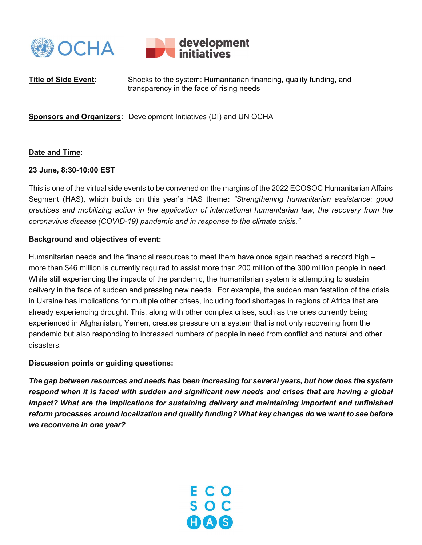



Title of Side Event: Shocks to the system: Humanitarian financing, quality funding, and transparency in the face of rising needs

Sponsors and Organizers: Development Initiatives (DI) and UN OCHA

## Date and Time:

### 23 June, 8:30-10:00 EST

This is one of the virtual side events to be convened on the margins of the 2022 ECOSOC Humanitarian Affairs Segment (HAS), which builds on this year's HAS theme: "Strengthening humanitarian assistance: good practices and mobilizing action in the application of international humanitarian law, the recovery from the coronavirus disease (COVID-19) pandemic and in response to the climate crisis."

#### Background and objectives of event:

Humanitarian needs and the financial resources to meet them have once again reached a record high – more than \$46 million is currently required to assist more than 200 million of the 300 million people in need. While still experiencing the impacts of the pandemic, the humanitarian system is attempting to sustain delivery in the face of sudden and pressing new needs. For example, the sudden manifestation of the crisis in Ukraine has implications for multiple other crises, including food shortages in regions of Africa that are already experiencing drought. This, along with other complex crises, such as the ones currently being experienced in Afghanistan, Yemen, creates pressure on a system that is not only recovering from the pandemic but also responding to increased numbers of people in need from conflict and natural and other disasters.

### Discussion points or guiding questions:

The gap between resources and needs has been increasing for several years, but how does the system respond when it is faced with sudden and significant new needs and crises that are having a global impact? What are the implications for sustaining delivery and maintaining important and unfinished reform processes around localization and quality funding? What key changes do we want to see before we reconvene in one year?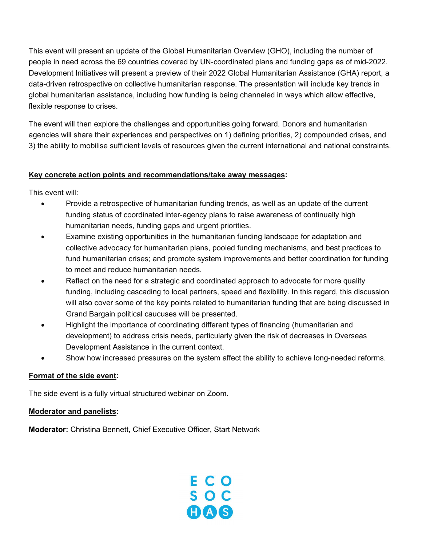This event will present an update of the Global Humanitarian Overview (GHO), including the number of people in need across the 69 countries covered by UN-coordinated plans and funding gaps as of mid-2022. Development Initiatives will present a preview of their 2022 Global Humanitarian Assistance (GHA) report, a data-driven retrospective on collective humanitarian response. The presentation will include key trends in global humanitarian assistance, including how funding is being channeled in ways which allow effective, flexible response to crises.

The event will then explore the challenges and opportunities going forward. Donors and humanitarian agencies will share their experiences and perspectives on 1) defining priorities, 2) compounded crises, and 3) the ability to mobilise sufficient levels of resources given the current international and national constraints.

# Key concrete action points and recommendations/take away messages:

This event will:

- Provide a retrospective of humanitarian funding trends, as well as an update of the current funding status of coordinated inter-agency plans to raise awareness of continually high humanitarian needs, funding gaps and urgent priorities.
- Examine existing opportunities in the humanitarian funding landscape for adaptation and collective advocacy for humanitarian plans, pooled funding mechanisms, and best practices to fund humanitarian crises; and promote system improvements and better coordination for funding to meet and reduce humanitarian needs.
- Reflect on the need for a strategic and coordinated approach to advocate for more quality funding, including cascading to local partners, speed and flexibility. In this regard, this discussion will also cover some of the key points related to humanitarian funding that are being discussed in Grand Bargain political caucuses will be presented.
- Highlight the importance of coordinating different types of financing (humanitarian and development) to address crisis needs, particularly given the risk of decreases in Overseas Development Assistance in the current context.
- Show how increased pressures on the system affect the ability to achieve long-needed reforms.

### Format of the side event:

The side event is a fully virtual structured webinar on Zoom.

# Moderator and panelists:

Moderator: Christina Bennett, Chief Executive Officer, Start Network

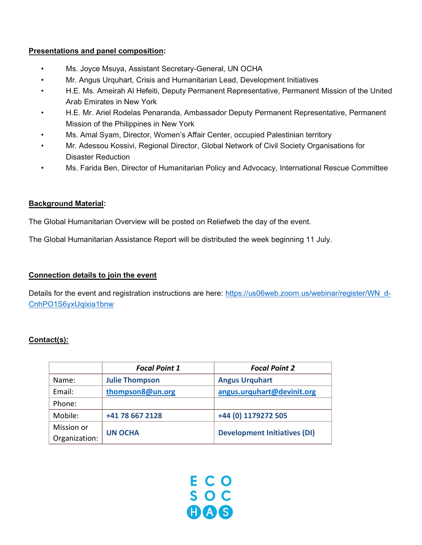## Presentations and panel composition:

- Ms. Joyce Msuya, Assistant Secretary-General, UN OCHA
- Mr. Angus Urquhart, Crisis and Humanitarian Lead, Development Initiatives
- H.E. Ms. Ameirah Al Hefeiti, Deputy Permanent Representative, Permanent Mission of the United Arab Emirates in New York
- H.E. Mr. Ariel Rodelas Penaranda, Ambassador Deputy Permanent Representative, Permanent Mission of the Philippines in New York
- Ms. Amal Syam, Director, Women's Affair Center, occupied Palestinian territory
- Mr. Adessou Kossivi, Regional Director, Global Network of Civil Society Organisations for Disaster Reduction
- Ms. Farida Ben, Director of Humanitarian Policy and Advocacy, International Rescue Committee

## Background Material:

The Global Humanitarian Overview will be posted on Reliefweb the day of the event.

The Global Humanitarian Assistance Report will be distributed the week beginning 11 July.

### Connection details to join the event

Details for the event and registration instructions are here: https://us06web.zoom.us/webinar/register/WN\_d-CnhPO1S6yxUqixia1bnw

# Contact(s):

|               | <b>Focal Point 1</b>  | <b>Focal Point 2</b>                |
|---------------|-----------------------|-------------------------------------|
| Name:         | <b>Julie Thompson</b> | <b>Angus Urquhart</b>               |
| Email:        | thompson8@un.org      | angus.urquhart@devinit.org          |
| Phone:        |                       |                                     |
| Mobile:       | +41 78 667 2128       | +44 (0) 1179272 505                 |
| Mission or    | <b>UN OCHA</b>        |                                     |
| Organization: |                       | <b>Development Initiatives (DI)</b> |

E C O<br>S O C